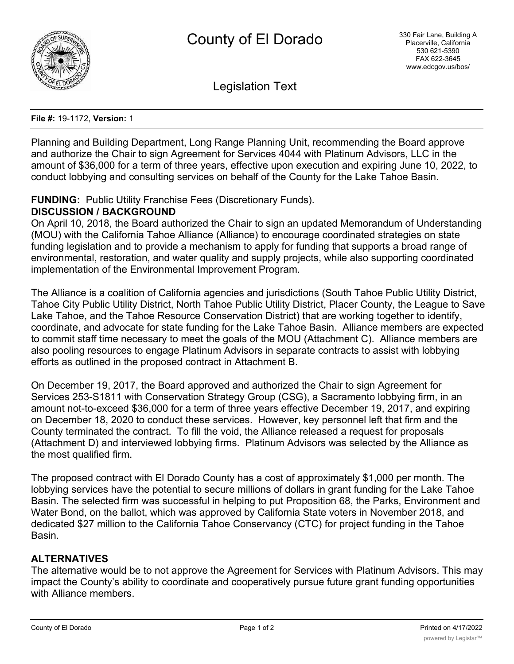

Legislation Text

**File #:** 19-1172, **Version:** 1

Planning and Building Department, Long Range Planning Unit, recommending the Board approve and authorize the Chair to sign Agreement for Services 4044 with Platinum Advisors, LLC in the amount of \$36,000 for a term of three years, effective upon execution and expiring June 10, 2022, to conduct lobbying and consulting services on behalf of the County for the Lake Tahoe Basin.

## **FUNDING:** Public Utility Franchise Fees (Discretionary Funds). **DISCUSSION / BACKGROUND**

On April 10, 2018, the Board authorized the Chair to sign an updated Memorandum of Understanding (MOU) with the California Tahoe Alliance (Alliance) to encourage coordinated strategies on state funding legislation and to provide a mechanism to apply for funding that supports a broad range of environmental, restoration, and water quality and supply projects, while also supporting coordinated implementation of the Environmental Improvement Program.

The Alliance is a coalition of California agencies and jurisdictions (South Tahoe Public Utility District, Tahoe City Public Utility District, North Tahoe Public Utility District, Placer County, the League to Save Lake Tahoe, and the Tahoe Resource Conservation District) that are working together to identify, coordinate, and advocate for state funding for the Lake Tahoe Basin. Alliance members are expected to commit staff time necessary to meet the goals of the MOU (Attachment C). Alliance members are also pooling resources to engage Platinum Advisors in separate contracts to assist with lobbying efforts as outlined in the proposed contract in Attachment B.

On December 19, 2017, the Board approved and authorized the Chair to sign Agreement for Services 253-S1811 with Conservation Strategy Group (CSG), a Sacramento lobbying firm, in an amount not-to-exceed \$36,000 for a term of three years effective December 19, 2017, and expiring on December 18, 2020 to conduct these services. However, key personnel left that firm and the County terminated the contract. To fill the void, the Alliance released a request for proposals (Attachment D) and interviewed lobbying firms. Platinum Advisors was selected by the Alliance as the most qualified firm.

The proposed contract with El Dorado County has a cost of approximately \$1,000 per month. The lobbying services have the potential to secure millions of dollars in grant funding for the Lake Tahoe Basin. The selected firm was successful in helping to put Proposition 68, the Parks, Environment and Water Bond, on the ballot, which was approved by California State voters in November 2018, and dedicated \$27 million to the California Tahoe Conservancy (CTC) for project funding in the Tahoe Basin.

# **ALTERNATIVES**

The alternative would be to not approve the Agreement for Services with Platinum Advisors. This may impact the County's ability to coordinate and cooperatively pursue future grant funding opportunities with Alliance members.